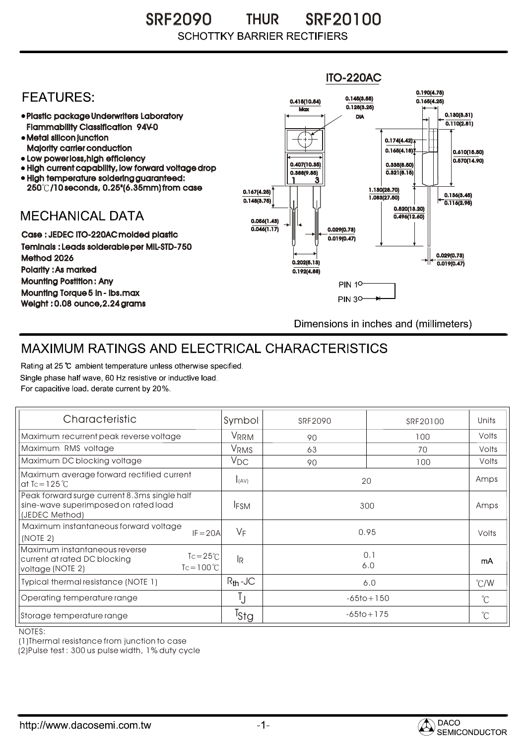SRF2090 SRF20100 THUR **SCHOTTKY BARRIER RECTIFIERS** 



## MAXIMUM RATINGS AND ELECTRICAL CHARACTERISTICS

Rating at 25 °C ambient temperature unless otherwise specified. Single phase half wave, 60 Hz resistive or inductive load. For capacitive load, derate current by 20%.

| Characteristic                                                                                                                 | Symbol           | SRF2090        | SRF20100       | Units         |
|--------------------------------------------------------------------------------------------------------------------------------|------------------|----------------|----------------|---------------|
| Maximum recurrent peak reverse voltage                                                                                         | VRRM             | 90             | 100            | Volts         |
| Maximum RMS voltage                                                                                                            | V <sub>RMS</sub> | 63             | 70             | Volts         |
| Maximum DC blocking voltage                                                                                                    | $V_{DC}$         | 90             | 100            | Volts         |
| Maximum average forward rectified current<br>at Tc = $125^\circ C$                                                             | I(AV)            | 20             |                | Amps          |
| Peak forward surge current 8.3ms single half<br>sine-wave superimposed on rated load<br>(JEDEC Method)                         | <b>IFSM</b>      | 300            |                | Amps          |
| Maximum instantaneous forward voltage<br>$IF = 20A$<br>(NOTE 2)                                                                | $V_F$            | 0.95           |                | Volts         |
| Maximum instantaneous reverse<br>$Tc = 25^{\circ}C$<br>current at rated DC blocking<br>$Tc = 100^{\circ}C$<br>voltage (NOTE 2) | <b>IR</b>        | 0.1<br>6.0     |                | mA            |
| Typical thermal resistance (NOTE 1)                                                                                            | $R_{th}$ -JC     | 6.0            |                | $\degree$ C/W |
| Operating temperature range                                                                                                    | Ţ                | $-65$ to + 150 |                | $^{\circ}C$   |
| Storage temperature range                                                                                                      | <sup>I</sup> Sta |                | $-65$ to + 175 |               |

NOTES:

(1)Thermal resistance from junction to case

(2)Pulse test : 300 us pulse width, 1% duty cycle